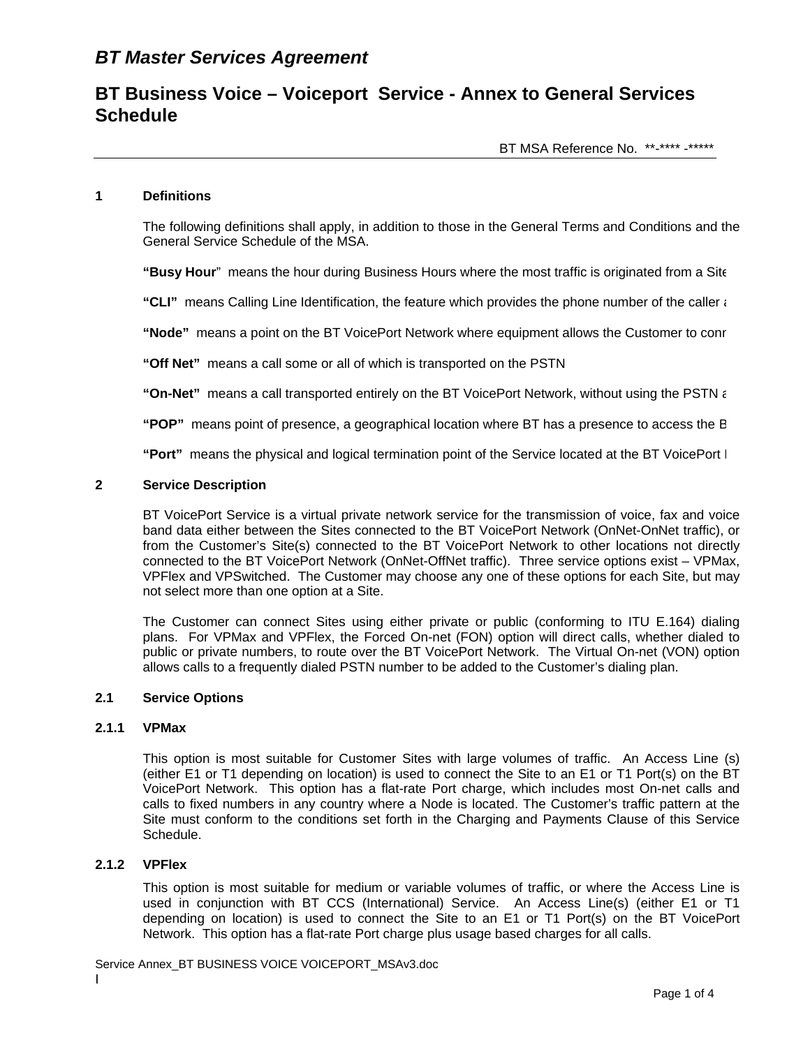## **1 Definitions**

The following definitions shall apply, in addition to those in the General Terms and Conditions and the General Service Schedule of the MSA.

**"Busy Hour**" means the hour during Business Hours where the most traffic is originated from a Site

**"CLI"** means Calling Line Identification, the feature which provides the phone number of the caller a

**"Node"** means a point on the BT VoicePort Network where equipment allows the Customer to conn

**"Off Net"** means a call some or all of which is transported on the PSTN

**"On-Net"** means a call transported entirely on the BT VoicePort Network, without using the PSTN a

**"POP"** means point of presence, a geographical location where BT has a presence to access the B

**"Port"** means the physical and logical termination point of the Service located at the BT VoicePort N

#### **2 Service Description**

BT VoicePort Service is a virtual private network service for the transmission of voice, fax and voice band data either between the Sites connected to the BT VoicePort Network (OnNet-OnNet traffic), or from the Customer's Site(s) connected to the BT VoicePort Network to other locations not directly connected to the BT VoicePort Network (OnNet-OffNet traffic). Three service options exist – VPMax, VPFlex and VPSwitched. The Customer may choose any one of these options for each Site, but may not select more than one option at a Site.

The Customer can connect Sites using either private or public (conforming to ITU E.164) dialing plans. For VPMax and VPFlex, the Forced On-net (FON) option will direct calls, whether dialed to public or private numbers, to route over the BT VoicePort Network. The Virtual On-net (VON) option allows calls to a frequently dialed PSTN number to be added to the Customer's dialing plan.

## **2.1 Service Options**

## **2.1.1 VPMax**

This option is most suitable for Customer Sites with large volumes of traffic. An Access Line (s) (either E1 or T1 depending on location) is used to connect the Site to an E1 or T1 Port(s) on the BT VoicePort Network. This option has a flat-rate Port charge, which includes most On-net calls and calls to fixed numbers in any country where a Node is located. The Customer's traffic pattern at the Site must conform to the conditions set forth in the Charging and Payments Clause of this Service Schedule.

## **2.1.2 VPFlex**

This option is most suitable for medium or variable volumes of traffic, or where the Access Line is used in conjunction with BT CCS (International) Service. An Access Line(s) (either E1 or T1 depending on location) is used to connect the Site to an E1 or T1 Port(s) on the BT VoicePort Network. This option has a flat-rate Port charge plus usage based charges for all calls.

Service Annex\_BT BUSINESS VOICE VOICEPORT\_MSAv3.doc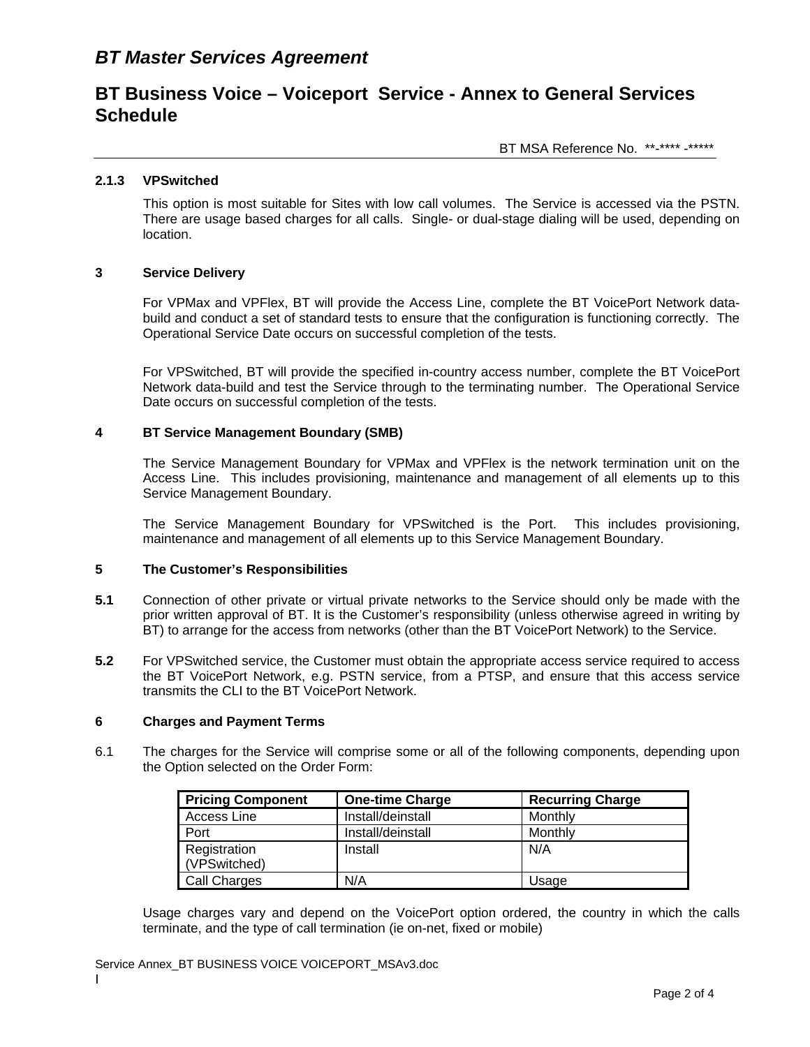BT MSA Reference No. \*\*-\*\*\*\* -\*\*\*\*\*

### **2.1.3 VPSwitched**

This option is most suitable for Sites with low call volumes. The Service is accessed via the PSTN. There are usage based charges for all calls. Single- or dual-stage dialing will be used, depending on location.

### **3 Service Delivery**

For VPMax and VPFlex, BT will provide the Access Line, complete the BT VoicePort Network databuild and conduct a set of standard tests to ensure that the configuration is functioning correctly. The Operational Service Date occurs on successful completion of the tests.

For VPSwitched, BT will provide the specified in-country access number, complete the BT VoicePort Network data-build and test the Service through to the terminating number. The Operational Service Date occurs on successful completion of the tests.

### **4 BT Service Management Boundary (SMB)**

The Service Management Boundary for VPMax and VPFlex is the network termination unit on the Access Line. This includes provisioning, maintenance and management of all elements up to this Service Management Boundary.

The Service Management Boundary for VPSwitched is the Port. This includes provisioning, maintenance and management of all elements up to this Service Management Boundary.

### **5 The Customer's Responsibilities**

- **5.1** Connection of other private or virtual private networks to the Service should only be made with the prior written approval of BT. It is the Customer's responsibility (unless otherwise agreed in writing by BT) to arrange for the access from networks (other than the BT VoicePort Network) to the Service.
- **5.2** For VPSwitched service, the Customer must obtain the appropriate access service required to access the BT VoicePort Network, e.g. PSTN service, from a PTSP, and ensure that this access service transmits the CLI to the BT VoicePort Network.

### **6 Charges and Payment Terms**

6.1 The charges for the Service will comprise some or all of the following components, depending upon the Option selected on the Order Form:

| <b>Pricing Component</b> | <b>One-time Charge</b> | <b>Recurring Charge</b> |
|--------------------------|------------------------|-------------------------|
| Access Line              | Install/deinstall      | Monthly                 |
| Port                     | Install/deinstall      | Monthly                 |
| Registration             | Install                | N/A                     |
| (VPSwitched)             |                        |                         |
| Call Charges             | N/A                    | Usage                   |

Usage charges vary and depend on the VoicePort option ordered, the country in which the calls terminate, and the type of call termination (ie on-net, fixed or mobile)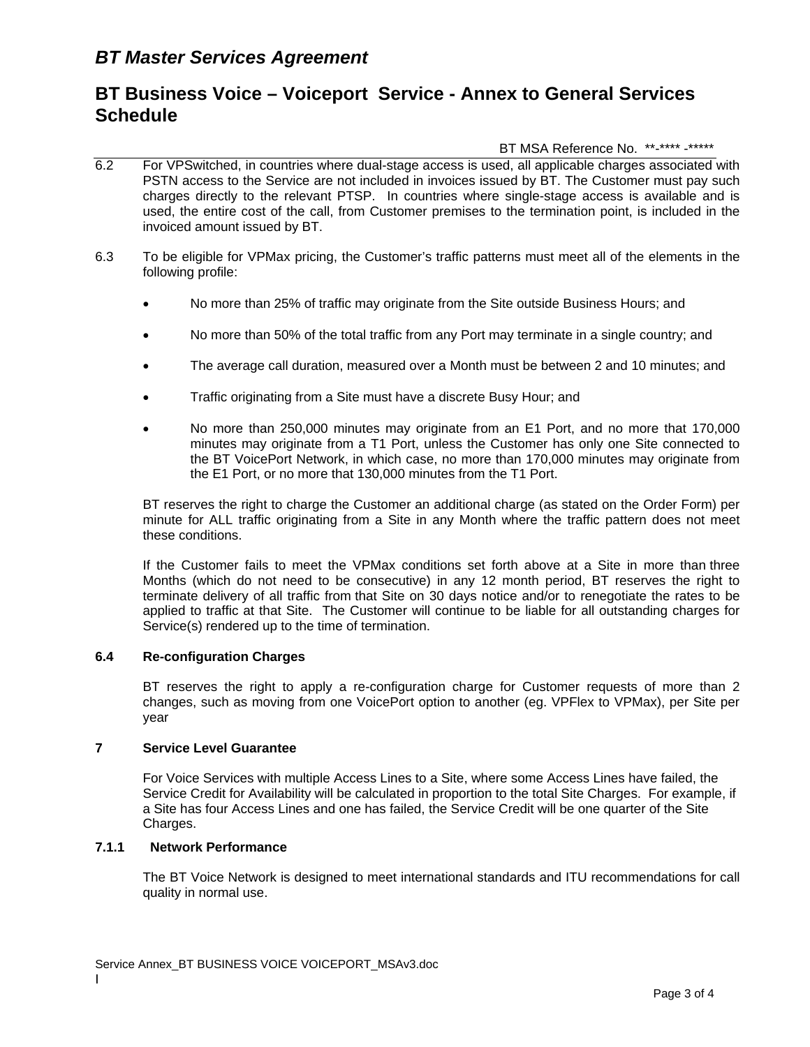### BT MSA Reference No. \*\*-\*\*\*\* -\*\*\*\*\*

- 6.2 For VPSwitched, in countries where dual-stage access is used, all applicable charges associated with PSTN access to the Service are not included in invoices issued by BT. The Customer must pay such charges directly to the relevant PTSP. In countries where single-stage access is available and is used, the entire cost of the call, from Customer premises to the termination point, is included in the invoiced amount issued by BT.
- 6.3 To be eligible for VPMax pricing, the Customer's traffic patterns must meet all of the elements in the following profile:
	- No more than 25% of traffic may originate from the Site outside Business Hours; and
	- No more than 50% of the total traffic from any Port may terminate in a single country; and
	- The average call duration, measured over a Month must be between 2 and 10 minutes; and
	- Traffic originating from a Site must have a discrete Busy Hour; and
	- No more than 250,000 minutes may originate from an E1 Port, and no more that 170,000 minutes may originate from a T1 Port, unless the Customer has only one Site connected to the BT VoicePort Network, in which case, no more than 170,000 minutes may originate from the E1 Port, or no more that 130,000 minutes from the T1 Port.

BT reserves the right to charge the Customer an additional charge (as stated on the Order Form) per minute for ALL traffic originating from a Site in any Month where the traffic pattern does not meet these conditions.

If the Customer fails to meet the VPMax conditions set forth above at a Site in more than three Months (which do not need to be consecutive) in any 12 month period, BT reserves the right to terminate delivery of all traffic from that Site on 30 days notice and/or to renegotiate the rates to be applied to traffic at that Site. The Customer will continue to be liable for all outstanding charges for Service(s) rendered up to the time of termination.

### **6.4 Re-configuration Charges**

BT reserves the right to apply a re-configuration charge for Customer requests of more than 2 changes, such as moving from one VoicePort option to another (eg. VPFlex to VPMax), per Site per year

### **7 Service Level Guarantee**

 For Voice Services with multiple Access Lines to a Site, where some Access Lines have failed, the Service Credit for Availability will be calculated in proportion to the total Site Charges. For example, if a Site has four Access Lines and one has failed, the Service Credit will be one quarter of the Site Charges.

### **7.1.1 Network Performance**

The BT Voice Network is designed to meet international standards and ITU recommendations for call quality in normal use.